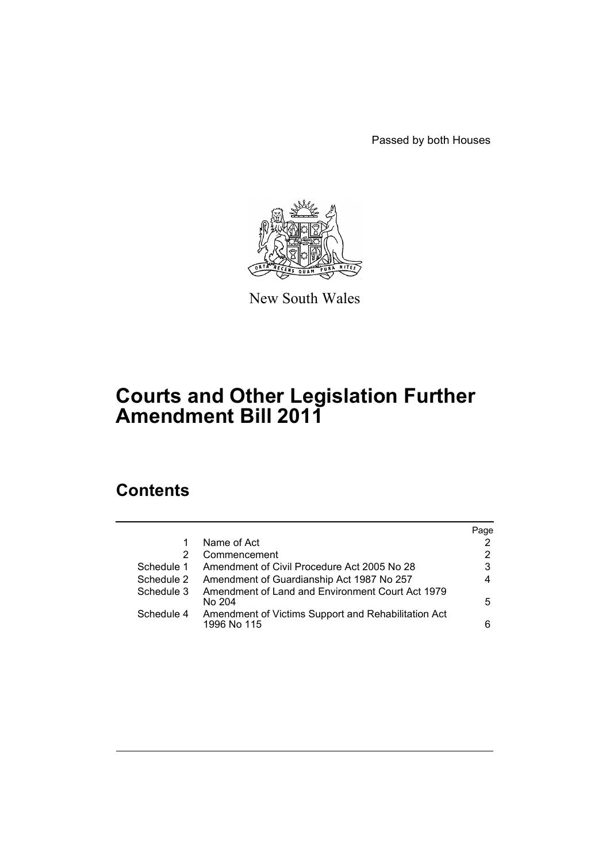Passed by both Houses



New South Wales

# **Courts and Other Legislation Further Amendment Bill 2011**

## **Contents**

|            |                                                                    | Page |
|------------|--------------------------------------------------------------------|------|
|            | Name of Act                                                        | 2    |
| 2          | Commencement                                                       | 2    |
| Schedule 1 | Amendment of Civil Procedure Act 2005 No 28                        | 3    |
| Schedule 2 | Amendment of Guardianship Act 1987 No 257                          | 4    |
| Schedule 3 | Amendment of Land and Environment Court Act 1979<br>No 204         | 5    |
| Schedule 4 | Amendment of Victims Support and Rehabilitation Act<br>1996 No 115 | 6    |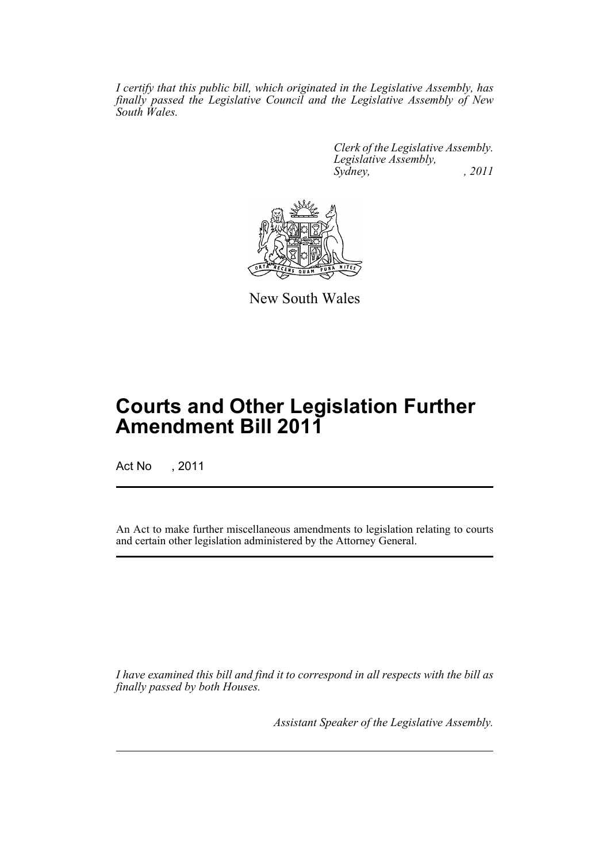*I certify that this public bill, which originated in the Legislative Assembly, has finally passed the Legislative Council and the Legislative Assembly of New South Wales.*

> *Clerk of the Legislative Assembly. Legislative Assembly, Sydney, , 2011*



New South Wales

## **Courts and Other Legislation Further Amendment Bill 2011**

Act No , 2011

An Act to make further miscellaneous amendments to legislation relating to courts and certain other legislation administered by the Attorney General.

*I have examined this bill and find it to correspond in all respects with the bill as finally passed by both Houses.*

*Assistant Speaker of the Legislative Assembly.*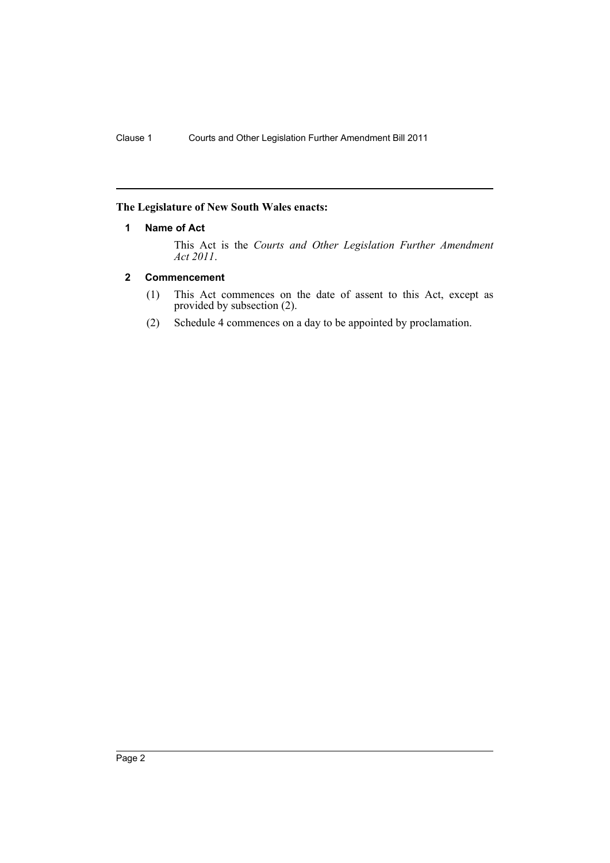#### <span id="page-3-0"></span>**The Legislature of New South Wales enacts:**

#### **1 Name of Act**

This Act is the *Courts and Other Legislation Further Amendment Act 2011*.

#### <span id="page-3-1"></span>**2 Commencement**

- (1) This Act commences on the date of assent to this Act, except as provided by subsection (2).
- (2) Schedule 4 commences on a day to be appointed by proclamation.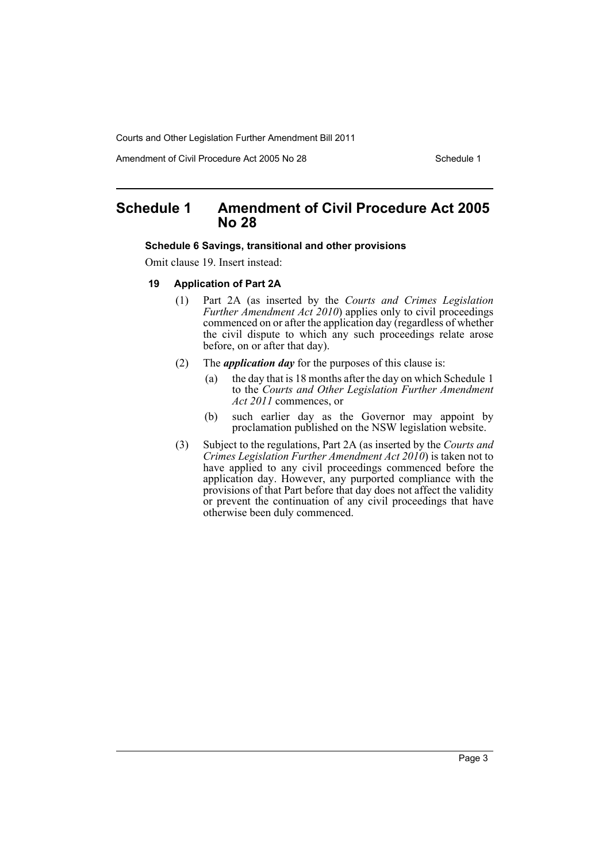Amendment of Civil Procedure Act 2005 No 28 Schedule 1

## <span id="page-4-0"></span>**Schedule 1 Amendment of Civil Procedure Act 2005 No 28**

#### **Schedule 6 Savings, transitional and other provisions**

Omit clause 19. Insert instead:

- **19 Application of Part 2A**
	- (1) Part 2A (as inserted by the *Courts and Crimes Legislation Further Amendment Act 2010*) applies only to civil proceedings commenced on or after the application day (regardless of whether the civil dispute to which any such proceedings relate arose before, on or after that day).
	- (2) The *application day* for the purposes of this clause is:
		- (a) the day that is 18 months after the day on which Schedule 1 to the *Courts and Other Legislation Further Amendment Act 2011* commences, or
		- (b) such earlier day as the Governor may appoint by proclamation published on the NSW legislation website.
	- (3) Subject to the regulations, Part 2A (as inserted by the *Courts and Crimes Legislation Further Amendment Act 2010*) is taken not to have applied to any civil proceedings commenced before the application day. However, any purported compliance with the provisions of that Part before that day does not affect the validity or prevent the continuation of any civil proceedings that have otherwise been duly commenced.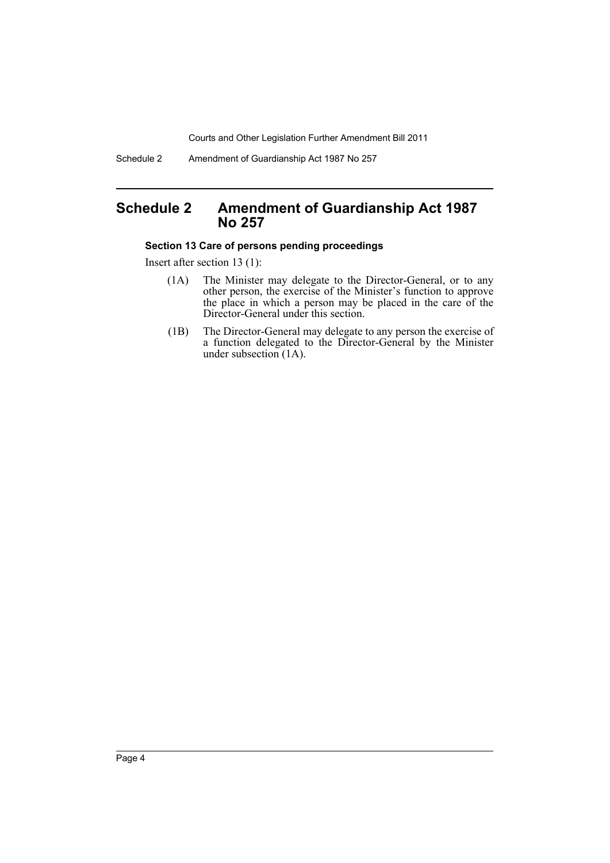Schedule 2 Amendment of Guardianship Act 1987 No 257

## <span id="page-5-0"></span>**Schedule 2 Amendment of Guardianship Act 1987 No 257**

#### **Section 13 Care of persons pending proceedings**

Insert after section 13 (1):

- (1A) The Minister may delegate to the Director-General, or to any other person, the exercise of the Minister's function to approve the place in which a person may be placed in the care of the Director-General under this section.
- (1B) The Director-General may delegate to any person the exercise of a function delegated to the Director-General by the Minister under subsection (1A).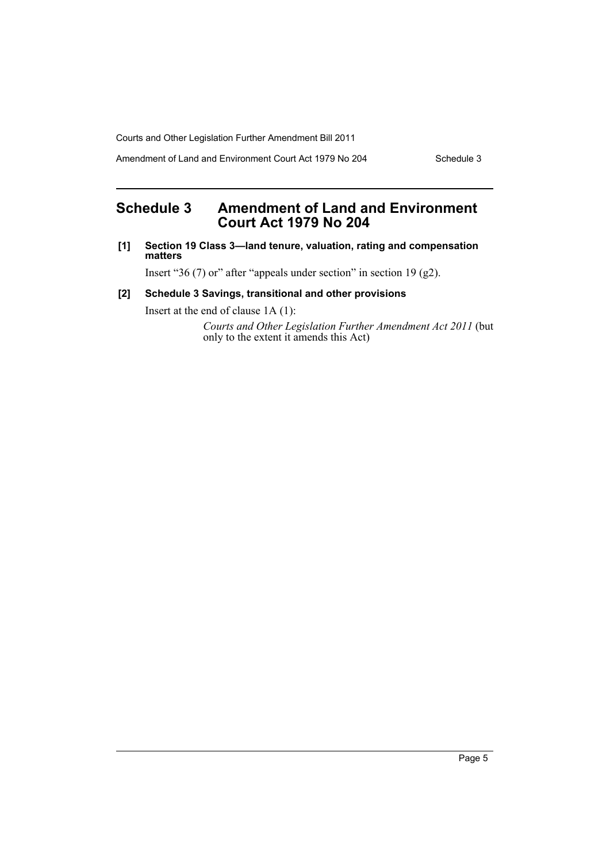Amendment of Land and Environment Court Act 1979 No 204 Schedule 3

## <span id="page-6-0"></span>**Schedule 3 Amendment of Land and Environment Court Act 1979 No 204**

**[1] Section 19 Class 3—land tenure, valuation, rating and compensation matters**

Insert "36 (7) or" after "appeals under section" in section 19 (g2).

#### **[2] Schedule 3 Savings, transitional and other provisions**

Insert at the end of clause 1A (1):

*Courts and Other Legislation Further Amendment Act 2011* (but only to the extent it amends this Act)